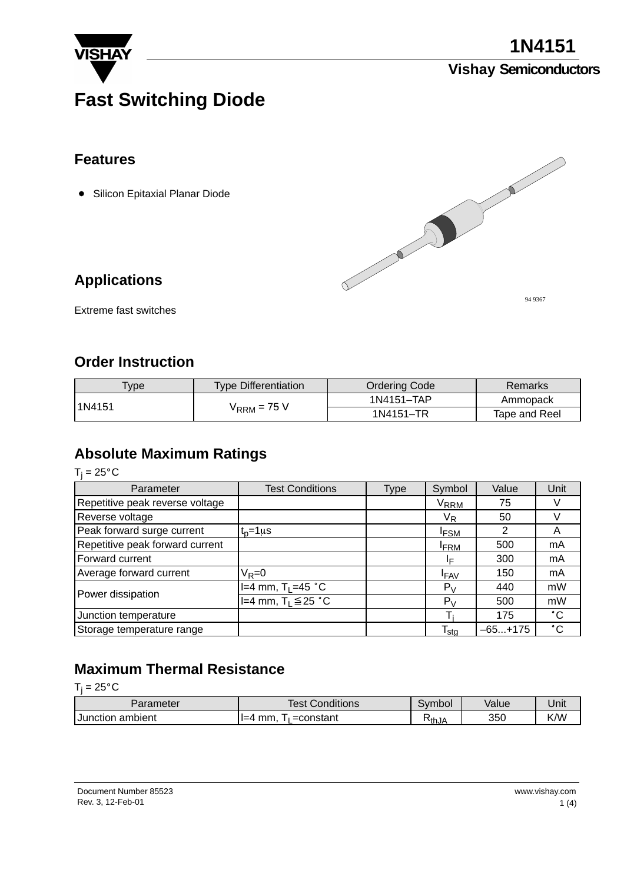

**1N4151**

### **Vishay Semiconductors**

# **Fast Switching Diode**

### **Features**

• Silicon Epitaxial Planar Diode



Extreme fast switches

**Applications**

### **Order Instruction**

| $v$ <sub>Vpe</sub> | <b>Type Differentiation</b> | Ordering Code | Remarks       |  |
|--------------------|-----------------------------|---------------|---------------|--|
| 1N4151             | $V_{\rm{RRM}}$ = 75 V       | 1N4151-TAP    | Ammopack      |  |
|                    |                             | 1N4151-TR     | Tape and Reel |  |

### **Absolute Maximum Ratings**

 $T_j = 25^\circ \text{C}$ 

| Parameter                       | <b>Test Conditions</b>           | <b>Type</b> | Symbol           | Value     | Unit         |
|---------------------------------|----------------------------------|-------------|------------------|-----------|--------------|
| Repetitive peak reverse voltage |                                  |             | V <sub>RRM</sub> | 75        |              |
| Reverse voltage                 |                                  |             | V <sub>R</sub>   | 50        |              |
| Peak forward surge current      | $t_p = 1 \mu s$                  |             | <b>IFSM</b>      |           | A            |
| Repetitive peak forward current |                                  |             | <b>IFRM</b>      | 500       | mA           |
| Forward current                 |                                  |             | ΙF               | 300       | mA           |
| Average forward current         | $V_R = 0$                        |             | <b>IFAV</b>      | 150       | mA           |
|                                 | $I=4$ mm, T <sub>I</sub> =45 °C  |             | $P_V$            | 440       | mW           |
| Power dissipation               | $I=4$ mm, T <sub>1</sub> ≤ 25 °C |             | $P_V$            | 500       | mW           |
| Junction temperature            |                                  |             |                  | 175       | $^{\circ}$ C |
| Storage temperature range       |                                  |             | <sup>l</sup> sta | $-65+175$ | $^{\circ}$ C |

### **Maximum Thermal Resistance**

 $T_j = 25^\circ \text{C}$ 

| Parameter                  | <b>Test Conditions</b>    | Svmbol | Value | Unit |
|----------------------------|---------------------------|--------|-------|------|
| ambient<br><b>Junction</b> | onstant<br>mm.<br>$I = 4$ | ≺ีthJA | 350   | K/W  |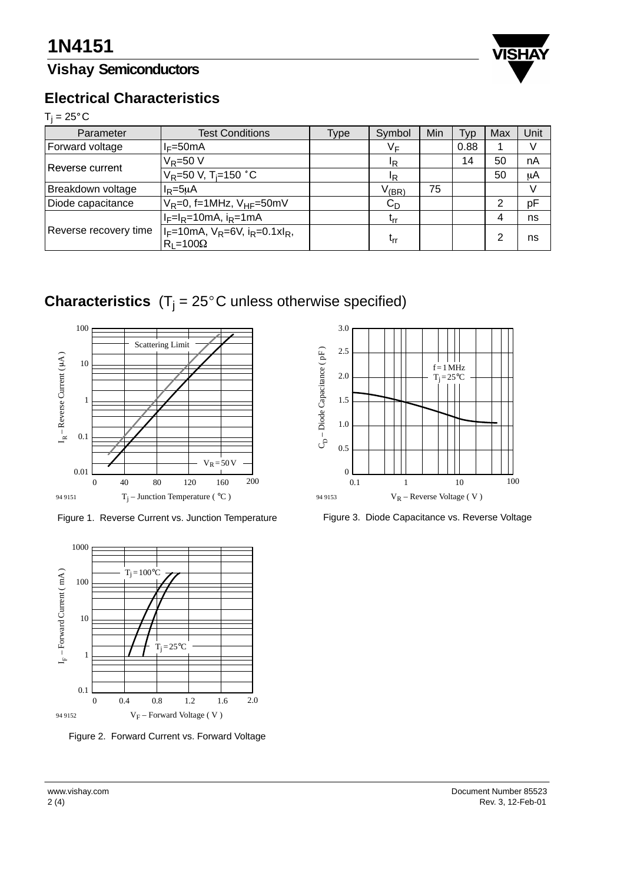### **Vishay Semiconductors**



### **Electrical Characteristics**

# **Electri**<br>T<sub>j</sub> = 25°C

| Parameter             | <b>Test Conditions</b>                                        | Type | Symbol                              | Min | Typ  | Max | Unit |
|-----------------------|---------------------------------------------------------------|------|-------------------------------------|-----|------|-----|------|
| Forward voltage       | $I_F = 50mA$                                                  |      | V⊧                                  |     | 0.88 |     |      |
| Reverse current       | $V_R = 50 V$                                                  |      | <sup>I</sup> R                      |     | 14   | 50  | nA   |
|                       | $V_R$ =50 V, T <sub>i</sub> =150 °C                           |      | ΙR                                  |     |      | 50  | μA   |
| Breakdown voltage     | $I_R = 5\mu A$                                                |      | $V_{\rm (BR)}$                      | 75  |      |     |      |
| Diode capacitance     | $V_R=0$ , f=1MHz, $V_{HF}=50$ mV                              |      | $\mathtt{C}_\mathtt{D}$             |     |      | າ   | pF   |
| Reverse recovery time | $I_F=I_R=10mA$ , $I_R=1mA$                                    |      | $\mathsf{L}_{\mathsf{r}\mathsf{r}}$ |     |      | 4   | ns   |
|                       | $ I_F=10$ mA, $V_R=6V$ , $i_R=0.1xI_R$ ,<br>$R_1 = 100\Omega$ |      | Irr                                 |     |      | າ   | ns   |

# **Characteristics**  $(T_j = 25^{\circ}C$  unless otherwise specified)



Figure 1. Reverse Current vs. Junction Temperature



Figure 3. Diode Capacitance vs. Reverse Voltage



Figure 2. Forward Current vs. Forward Voltage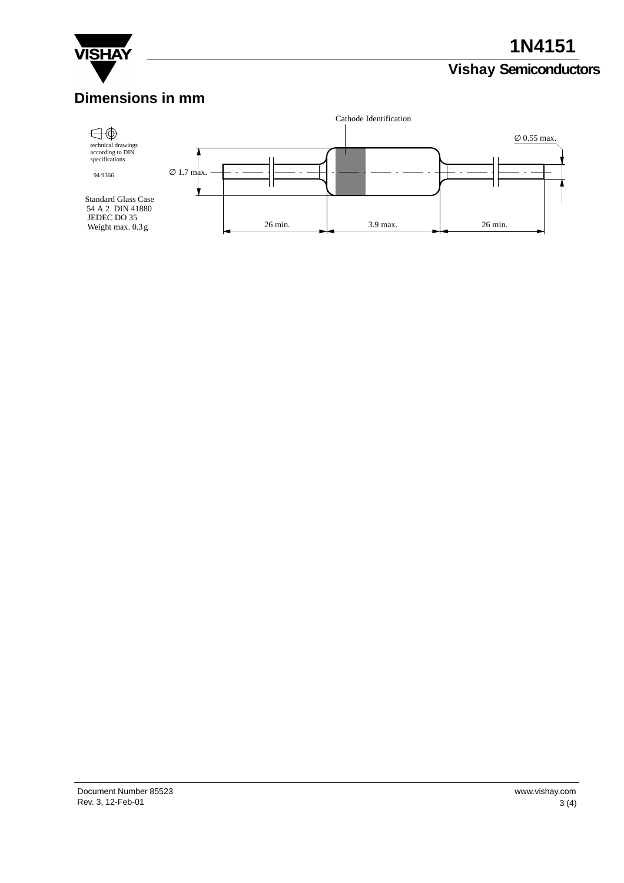

# **1N4151**

## **Vishay Semiconductors**

### **Dimensions in mm**